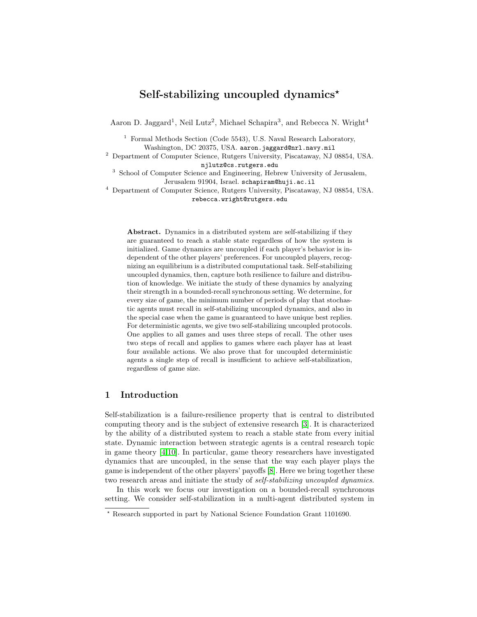# Self-stabilizing uncoupled dynamics<sup>\*</sup>

Aaron D. Jaggard<sup>1</sup>, Neil Lutz<sup>2</sup>, Michael Schapira<sup>3</sup>, and Rebecca N. Wright<sup>4</sup>

<sup>1</sup> Formal Methods Section (Code 5543), U.S. Naval Research Laboratory, Washington, DC 20375, USA. aaron.jaggard@nrl.navy.mil

<sup>2</sup> Department of Computer Science, Rutgers University, Piscataway, NJ 08854, USA. njlutz@cs.rutgers.edu

<sup>3</sup> School of Computer Science and Engineering, Hebrew University of Jerusalem, Jerusalem 91904, Israel. schapiram@huji.ac.il

<sup>4</sup> Department of Computer Science, Rutgers University, Piscataway, NJ 08854, USA. rebecca.wright@rutgers.edu

Abstract. Dynamics in a distributed system are self-stabilizing if they are guaranteed to reach a stable state regardless of how the system is initialized. Game dynamics are uncoupled if each player's behavior is independent of the other players' preferences. For uncoupled players, recognizing an equilibrium is a distributed computational task. Self-stabilizing uncoupled dynamics, then, capture both resilience to failure and distribution of knowledge. We initiate the study of these dynamics by analyzing their strength in a bounded-recall synchronous setting. We determine, for every size of game, the minimum number of periods of play that stochastic agents must recall in self-stabilizing uncoupled dynamics, and also in the special case when the game is guaranteed to have unique best replies. For deterministic agents, we give two self-stabilizing uncoupled protocols. One applies to all games and uses three steps of recall. The other uses two steps of recall and applies to games where each player has at least four available actions. We also prove that for uncoupled deterministic agents a single step of recall is insufficient to achieve self-stabilization, regardless of game size.

## 1 Introduction

Self-stabilization is a failure-resilience property that is central to distributed computing theory and is the subject of extensive research [\[3\]](#page-11-0). It is characterized by the ability of a distributed system to reach a stable state from every initial state. Dynamic interaction between strategic agents is a central research topic in game theory [\[4](#page-11-1)[,10\]](#page-11-2). In particular, game theory researchers have investigated dynamics that are uncoupled, in the sense that the way each player plays the game is independent of the other players' payoffs [\[8\]](#page-11-3). Here we bring together these two research areas and initiate the study of self-stabilizing uncoupled dynamics.

In this work we focus our investigation on a bounded-recall synchronous setting. We consider self-stabilization in a multi-agent distributed system in

<sup>?</sup> Research supported in part by National Science Foundation Grant 1101690.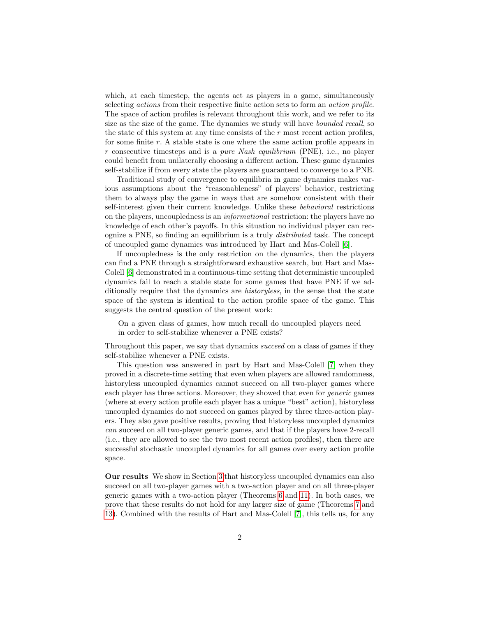which, at each timestep, the agents act as players in a game, simultaneously selecting *actions* from their respective finite action sets to form an *action profile*. The space of action profiles is relevant throughout this work, and we refer to its size as the size of the game. The dynamics we study will have *bounded recall*, so the state of this system at any time consists of the  $r$  most recent action profiles, for some finite r. A stable state is one where the same action profile appears in r consecutive timesteps and is a *pure Nash equilibrium* (PNE), i.e., no player could benefit from unilaterally choosing a different action. These game dynamics self-stabilize if from every state the players are guaranteed to converge to a PNE.

Traditional study of convergence to equilibria in game dynamics makes various assumptions about the "reasonableness" of players' behavior, restricting them to always play the game in ways that are somehow consistent with their self-interest given their current knowledge. Unlike these behavioral restrictions on the players, uncoupledness is an informational restriction: the players have no knowledge of each other's payoffs. In this situation no individual player can recognize a PNE, so finding an equilibrium is a truly distributed task. The concept of uncoupled game dynamics was introduced by Hart and Mas-Colell [\[6\]](#page-11-4).

If uncoupledness is the only restriction on the dynamics, then the players can find a PNE through a straightforward exhaustive search, but Hart and Mas-Colell [\[6\]](#page-11-4) demonstrated in a continuous-time setting that deterministic uncoupled dynamics fail to reach a stable state for some games that have PNE if we additionally require that the dynamics are *historyless*, in the sense that the state space of the system is identical to the action profile space of the game. This suggests the central question of the present work:

On a given class of games, how much recall do uncoupled players need in order to self-stabilize whenever a PNE exists?

Throughout this paper, we say that dynamics succeed on a class of games if they self-stabilize whenever a PNE exists.

This question was answered in part by Hart and Mas-Colell [\[7\]](#page-11-5) when they proved in a discrete-time setting that even when players are allowed randomness, historyless uncoupled dynamics cannot succeed on all two-player games where each player has three actions. Moreover, they showed that even for *generic* games (where at every action profile each player has a unique "best" action), historyless uncoupled dynamics do not succeed on games played by three three-action players. They also gave positive results, proving that historyless uncoupled dynamics can succeed on all two-player generic games, and that if the players have 2-recall (i.e., they are allowed to see the two most recent action profiles), then there are successful stochastic uncoupled dynamics for all games over every action profile space.

Our results We show in Section [3](#page-4-0) that historyless uncoupled dynamics can also succeed on all two-player games with a two-action player and on all three-player generic games with a two-action player (Theorems [6](#page-5-0) and [11\)](#page-7-0). In both cases, we prove that these results do not hold for any larger size of game (Theorems [7](#page-6-0) and [13\)](#page-8-0). Combined with the results of Hart and Mas-Colell [\[7\]](#page-11-5), this tells us, for any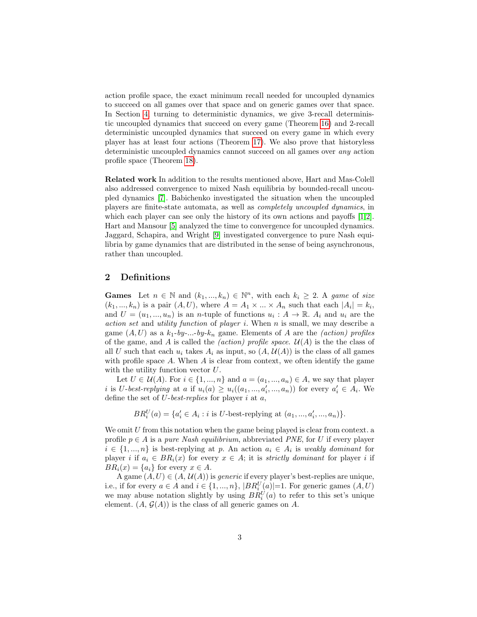action profile space, the exact minimum recall needed for uncoupled dynamics to succeed on all games over that space and on generic games over that space. In Section [4,](#page-8-1) turning to deterministic dynamics, we give 3-recall deterministic uncoupled dynamics that succeed on every game (Theorem [16\)](#page-9-0) and 2-recall deterministic uncoupled dynamics that succeed on every game in which every player has at least four actions (Theorem [17\)](#page-9-1). We also prove that historyless deterministic uncoupled dynamics cannot succeed on all games over any action profile space (Theorem [18\)](#page-11-6).

Related work In addition to the results mentioned above, Hart and Mas-Colell also addressed convergence to mixed Nash equilibria by bounded-recall uncoupled dynamics [\[7\]](#page-11-5). Babichenko investigated the situation when the uncoupled players are finite-state automata, as well as completely uncoupled dynamics, in which each player can see only the history of its own actions and payoffs [\[1,](#page-11-7)[2\]](#page-11-8). Hart and Mansour [\[5\]](#page-11-9) analyzed the time to convergence for uncoupled dynamics. Jaggard, Schapira, and Wright [\[9\]](#page-11-10) investigated convergence to pure Nash equilibria by game dynamics that are distributed in the sense of being asynchronous, rather than uncoupled.

### 2 Definitions

**Games** Let  $n \in \mathbb{N}$  and  $(k_1, ..., k_n) \in \mathbb{N}^n$ , with each  $k_i \geq 2$ . A game of size  $(k_1, ..., k_n)$  is a pair  $(A, U)$ , where  $A = A_1 \times ... \times A_n$  such that each  $|A_i| = k_i$ , and  $U = (u_1, ..., u_n)$  is an *n*-tuple of functions  $u_i : A \to \mathbb{R}$ .  $A_i$  and  $u_i$  are the action set and utility function of player i. When n is small, we may describe a game  $(A, U)$  as a  $k_1$ -by-...-by- $k_n$  game. Elements of A are the *(action) profiles* of the game, and A is called the *(action) profile space.*  $\mathcal{U}(A)$  is the the class of all U such that each  $u_i$  takes  $A_i$  as input, so  $(A, \mathcal{U}(A))$  is the class of all games with profile space  $A$ . When  $A$  is clear from context, we often identify the game with the utility function vector U.

Let  $U \in \mathcal{U}(A)$ . For  $i \in \{1, ..., n\}$  and  $a = (a_1, ..., a_n) \in A$ , we say that player i is U-best-replying at a if  $u_i(a) \ge u_i((a_1, ..., a'_i, ..., a_n))$  for every  $a'_i \in A_i$ . We define the set of  $U$ -best-replies for player i at  $a$ ,

 $BR_i^U(a) = \{a'_i \in A_i : i \text{ is } U\text{-best-replying at } (a_1, ..., a'_i, ..., a_n)\}.$ 

We omit  $U$  from this notation when the game being played is clear from context. a profile  $p \in A$  is a *pure Nash equilibrium*, abbreviated *PNE*, for U if every player  $i \in \{1, ..., n\}$  is best-replying at p. An action  $a_i \in A_i$  is weakly dominant for player i if  $a_i \in BR_i(x)$  for every  $x \in A$ ; it is strictly dominant for player i if  $BR_i(x) = \{a_i\}$  for every  $x \in A$ .

A game  $(A, U) \in (A, \mathcal{U}(A))$  is *generic* if every player's best-replies are unique, i.e., if for every  $a \in A$  and  $i \in \{1, ..., n\}$ ,  $|BR_i^U(a)|=1$ . For generic games  $(A, U)$ we may abuse notation slightly by using  $BR_i^U(a)$  to refer to this set's unique element.  $(A, \mathcal{G}(A))$  is the class of all generic games on A.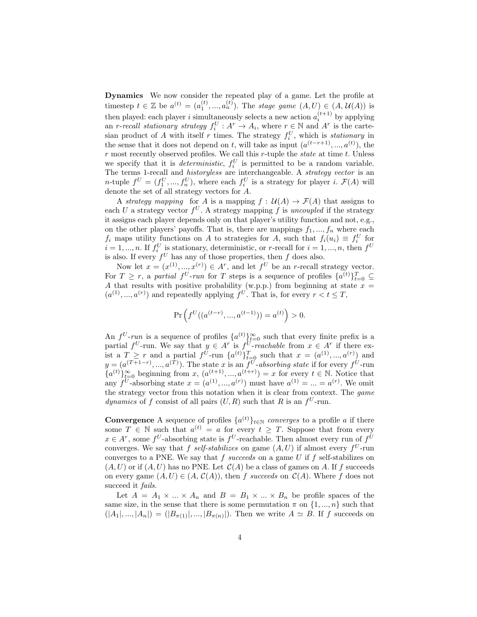Dynamics We now consider the repeated play of a game. Let the profile at timestep  $t \in \mathbb{Z}$  be  $a^{(t)} = (a_1^{(t)}, ..., a_n^{(t)})$ . The stage game  $(A, U) \in (A, U(A))$  is then played: each player i simultaneously selects a new action  $a_i^{(t+1)}$  by applying then played, each player is simultaneously selects a new action  $u_i$  by applying an r-recall stationary strategy  $f_i^U : A^r \to A_i$ , where  $r \in \mathbb{N}$  and  $A^r$  is the cartesian product of A with itself r times. The strategy  $f_i^U$ , which is *stationary* in the sense that it does not depend on t, will take as input  $(a^{(t-r+1)},...,a^{(t)})$ , the  $r$  most recently observed profiles. We call this  $r$ -tuple the *state* at time  $t$ . Unless we specify that it is *deterministic*,  $f_i^U$  is permitted to be a random variable. The terms 1-recall and *historyless* are interchangeable. A *strategy vector* is an *n*-tuple  $f^U = (f_1^U, ..., f_n^U)$ , where each  $f_i^U$  is a strategy for player *i*.  $\mathcal{F}(A)$  will denote the set of all strategy vectors for A.

A strategy mapping for A is a mapping  $f: U(A) \to \mathcal{F}(A)$  that assigns to each U a strategy vector  $f^U$ . A strategy mapping f is uncoupled if the strategy it assigns each player depends only on that player's utility function and not, e.g., on the other players' payoffs. That is, there are mappings  $f_1, ..., f_n$  where each  $f_i$  maps utility functions on A to strategies for A, such that  $f_i(u_i) \equiv f_i^U$  for  $i = 1, ..., n$ . If  $f_i^U$  is stationary, deterministic, or r-recall for  $i = 1, ..., n$ , then  $f^U$ is also. If every  $f^U$  has any of those properties, then f does also.

Now let  $x = (x^{(1)}, ..., x^{(r)}) \in A^r$ , and let  $f^U$  be an *r*-recall strategy vector. For  $T \ge r$ , a partial  $f^U$ -run for T steps is a sequence of profiles  $\{a^{(t)}\}_{t=0}^T \subseteq$ A that results with positive probability (w.p.p.) from beginning at state  $x =$  $(a^{(1)},...,a^{(r)})$  and repeatedly applying  $f^U$ . That is, for every  $r < t \leq T$ ,

$$
\Pr\left(f^U((a^{(t-r)},...,a^{(t-1)}))=a^{(t)}\right)>0.
$$

An  $f^U$ -run is a sequence of profiles  $\{a^{(t)}\}_{t=0}^{\infty}$  such that every finite prefix is a partial  $f^U$ -run. We say that  $y \in A^r$  is  $f^U$ -reachable from  $x \in A^r$  if there exist a  $T \geq r$  and a partial  $f^{U}$ -run  $\{a^{(t)}\}_{t=0}^{T}$  such that  $x = (a^{(1)},...,a^{(r)})$  and  $y = (a^{(T+1-r)},...,a^{(T)})$ . The state x is an  $f^U$ -absorbing state if for every  $f^U$ -run  ${a^{(t)}}_{t=0}^{\infty}$  beginning from x,  $(a^{(t+1)},...,a^{(t+r)}) = x$  for every  $t \in \mathbb{N}$ . Notice that any  $f^U$ -absorbing state  $x = (a^{(1)}, ..., a^{(r)})$  must have  $a^{(1)} = ... = a^{(r)}$ . We omit the strategy vector from this notation when it is clear from context. The game dynamics of f consist of all pairs  $(U, R)$  such that R is an  $f^U$ -run.

**Convergence** A sequence of profiles  $\{a^{(t)}\}_{t\in\mathbb{N}}$  converges to a profile a if there some  $T \in \mathbb{N}$  such that  $a^{(t)} = a$  for every  $t \geq T$ . Suppose that from every  $x \in A^r$ , some  $f^U$ -absorbing state is  $f^U$ -reachable. Then almost every run of  $f^U$ converges. We say that f self-stabilizes on game  $(A, U)$  if almost every  $f^U$ -run converges to a PNE. We say that  $f$  succeeds on a game  $U$  if  $f$  self-stabilizes on  $(A, U)$  or if  $(A, U)$  has no PNE. Let  $C(A)$  be a class of games on A. If f succeeds on every game  $(A, U) \in (A, C(A))$ , then f succeeds on  $C(A)$ . Where f does not succeed it *fails*.

Let  $A = A_1 \times ... \times A_n$  and  $B = B_1 \times ... \times B_n$  be profile spaces of the same size, in the sense that there is some permutation  $\pi$  on  $\{1, ..., n\}$  such that  $(|A_1|, ..., |A_n|) = (|B_{\pi(1)}|, ..., |B_{\pi(n)}|).$  Then we write  $A \simeq B$ . If f succeeds on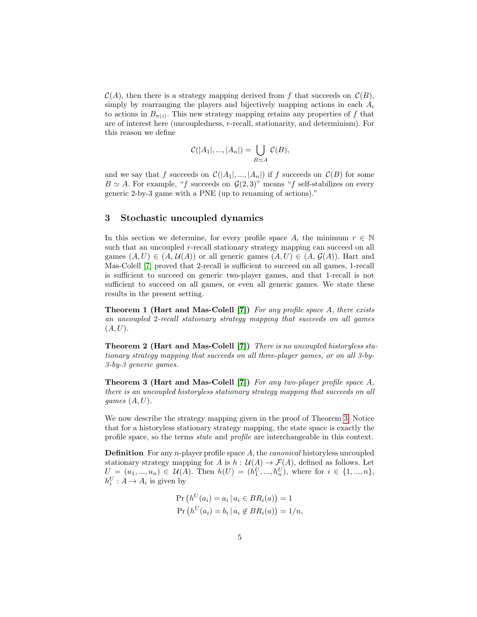$\mathcal{C}(A)$ , then there is a strategy mapping derived from f that succeeds on  $\mathcal{C}(B)$ , simply by rearranging the players and bijectively mapping actions in each  $A_i$ to actions in  $B_{\pi(i)}$ . This new strategy mapping retains any properties of f that are of interest here (uncoupledness, r-recall, stationarity, and determinism). For this reason we define

$$
\mathcal{C}(|A_1|, ..., |A_n|) = \bigcup_{B \simeq A} \mathcal{C}(B),
$$

and we say that f succeeds on  $\mathcal{C}(|A_1|, ..., |A_n|)$  if f succeeds on  $\mathcal{C}(B)$  for some  $B \simeq A$ . For example, "f succeeds on  $\mathcal{G}(2,3)$ " means "f self-stabilizes on every generic 2-by-3 game with a PNE (up to renaming of actions)."

### <span id="page-4-0"></span>3 Stochastic uncoupled dynamics

In this section we determine, for every profile space A, the minimum  $r \in \mathbb{N}$ such that an uncoupled r-recall stationary strategy mapping can succeed on all games  $(A, U) \in (A, \mathcal{U}(A))$  or all generic games  $(A, U) \in (A, \mathcal{G}(A))$ . Hart and Mas-Colell [\[7\]](#page-11-5) proved that 2-recall is sufficient to succeed on all games, 1-recall is sufficient to succeed on generic two-player games, and that 1-recall is not sufficient to succeed on all games, or even all generic games. We state these results in the present setting.

<span id="page-4-3"></span>**Theorem 1 (Hart and Mas-Colell [\[7\]](#page-11-5))** For any profile space A, there exists an uncoupled 2-recall stationary strategy mapping that succeeds on all games  $(A, U)$ .

<span id="page-4-2"></span>Theorem 2 (Hart and Mas-Colell [\[7\]](#page-11-5)) There is no uncoupled historyless stationary strategy mapping that succeeds on all three-player games, or on all 3-by-3-by-3 generic games.

<span id="page-4-1"></span>Theorem 3 (Hart and Mas-Colell [\[7\]](#page-11-5)) For any two-player profile space A, there is an uncoupled historyless stationary strategy mapping that succeeds on all games  $(A, U)$ .

We now describe the strategy mapping given in the proof of Theorem [3.](#page-4-1) Notice that for a historyless stationary strategy mapping, the state space is exactly the profile space, so the terms state and profile are interchangeable in this context.

**Definition** For any *n*-player profile space A, the *canonical* historyless uncoupled stationary strategy mapping for A is  $h : \mathcal{U}(A) \to \mathcal{F}(A)$ , defined as follows. Let  $U = (u_1, ..., u_n) \in \mathcal{U}(A)$ . Then  $h(U) = (h_1^U, ..., h_n^U)$ , where for  $i \in \{1, ..., n\}$ ,  $h_i^U : A \to A_i$  is given by

$$
\Pr\left(h^U(a_i) = a_i \mid a_i \in BR_i(a)\right) = 1
$$
  

$$
\Pr\left(h^U(a_i) = b_i \mid a_i \notin BR_i(a)\right) = 1/n,
$$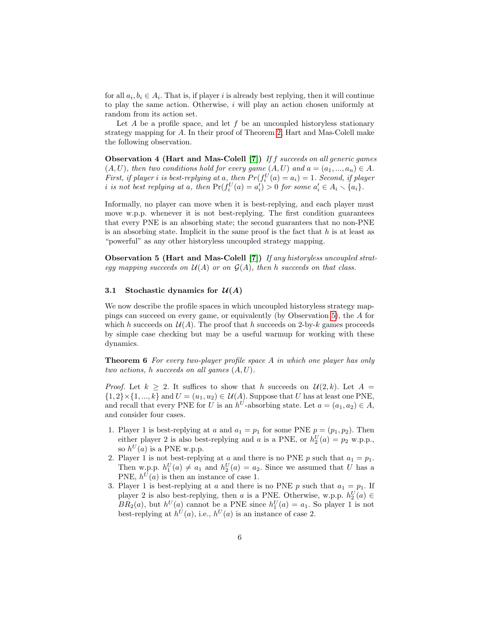for all  $a_i, b_i \in A_i$ . That is, if player i is already best replying, then it will continue to play the same action. Otherwise,  $i$  will play an action chosen uniformly at random from its action set.

Let  $A$  be a profile space, and let  $f$  be an uncoupled historyless stationary strategy mapping for A. In their proof of Theorem [2,](#page-4-2) Hart and Mas-Colell make the following observation.

<span id="page-5-2"></span>Observation 4 (Hart and Mas-Colell [\[7\]](#page-11-5)) If f succeeds on all generic games  $(A, U)$ , then two conditions hold for every game  $(A, U)$  and  $a = (a_1, ..., a_n) \in A$ . First, if player i is best-replying at a, then  $Pr(f_i^U(a) = a_i) = 1$ . Second, if player i is not best replying at a, then  $Pr(f_i^U(a) = a_i^{\prime}) > 0$  for some  $a_i^{\prime} \in A_i \setminus \{a_i\}.$ 

Informally, no player can move when it is best-replying, and each player must move w.p.p. whenever it is not best-replying. The first condition guarantees that every PNE is an absorbing state; the second guarantees that no non-PNE is an absorbing state. Implicit in the same proof is the fact that  $h$  is at least as "powerful" as any other historyless uncoupled strategy mapping.

<span id="page-5-1"></span>Observation 5 (Hart and Mas-Colell [\[7\]](#page-11-5)) If any historyless uncoupled strategy mapping succeeds on  $\mathcal{U}(A)$  or on  $\mathcal{G}(A)$ , then h succeeds on that class.

## 3.1 Stochastic dynamics for  $\mathcal{U}(A)$

We now describe the profile spaces in which uncoupled historyless strategy mappings can succeed on every game, or equivalently (by Observation [5\)](#page-5-1), the A for which h succeeds on  $\mathcal{U}(A)$ . The proof that h succeeds on 2-by-k games proceeds by simple case checking but may be a useful warmup for working with these dynamics.

<span id="page-5-0"></span>Theorem 6 For every two-player profile space A in which one player has only two actions, h succeeds on all games  $(A, U)$ .

*Proof.* Let  $k > 2$ . It suffices to show that h succeeds on  $\mathcal{U}(2, k)$ . Let  $A =$  ${1, 2} \times {1, ..., k}$  and  $U = (u_1, u_2) \in U(A)$ . Suppose that U has at least one PNE, and recall that every PNE for U is an  $h^U$ -absorbing state. Let  $a = (a_1, a_2) \in A$ , and consider four cases.

- 1. Player 1 is best-replying at a and  $a_1 = p_1$  for some PNE  $p = (p_1, p_2)$ . Then either player 2 is also best-replying and a is a PNE, or  $h_2^U(a) = p_2$  w.p.p., so  $h^U(a)$  is a PNE w.p.p.
- 2. Player 1 is not best-replying at a and there is no PNE p such that  $a_1 = p_1$ . Then w.p.p.  $h_1^U(a) \neq a_1$  and  $h_2^U(a) = a_2$ . Since we assumed that U has a PNE,  $h^{U}(a)$  is then an instance of case 1.
- 3. Player 1 is best-replying at a and there is no PNE p such that  $a_1 = p_1$ . If player 2 is also best-replying, then a is a PNE. Otherwise, w.p.p.  $h_2^U(a) \in$  $BR_2(a)$ , but  $h^U(a)$  cannot be a PNE since  $h_1^U(a) = a_1$ . So player 1 is not best-replying at  $h^U(a)$ , i.e.,  $h^U(a)$  is an instance of case 2.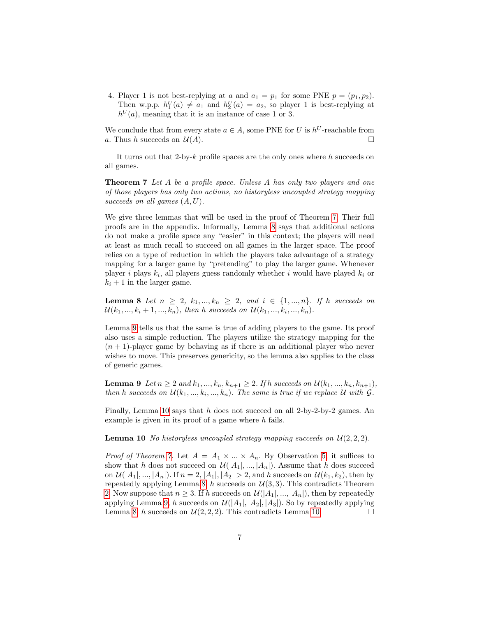4. Player 1 is not best-replying at a and  $a_1 = p_1$  for some PNE  $p = (p_1, p_2)$ . Then w.p.p.  $h_1^U(a) \neq a_1$  and  $h_2^U(a) = a_2$ , so player 1 is best-replying at  $h^{U}(a)$ , meaning that it is an instance of case 1 or 3.

We conclude that from every state  $a \in A$ , some PNE for U is  $h^U$ -reachable from a. Thus h succeeds on  $\mathcal{U}(A)$ .

<span id="page-6-0"></span>It turns out that 2-by- $k$  profile spaces are the only ones where  $h$  succeeds on all games.

**Theorem 7** Let A be a profile space. Unless A has only two players and one of those players has only two actions, no historyless uncoupled strategy mapping succeeds on all games  $(A, U)$ .

We give three lemmas that will be used in the proof of Theorem [7.](#page-6-0) Their full proofs are in the appendix. Informally, Lemma [8](#page-6-1) says that additional actions do not make a profile space any "easier" in this context; the players will need at least as much recall to succeed on all games in the larger space. The proof relies on a type of reduction in which the players take advantage of a strategy mapping for a larger game by "pretending" to play the larger game. Whenever player *i* plays  $k_i$ , all players guess randomly whether *i* would have played  $k_i$  or  $k_i + 1$  in the larger game.

<span id="page-6-1"></span>**Lemma 8** Let  $n \ge 2$ ,  $k_1, ..., k_n \ge 2$ , and  $i \in \{1, ..., n\}$ . If h succeeds on  $\mathcal{U}(k_1, ..., k_i + 1, ..., k_n)$ , then h succeeds on  $\mathcal{U}(k_1, ..., k_i, ..., k_n)$ .

Lemma [9](#page-6-2) tells us that the same is true of adding players to the game. Its proof also uses a simple reduction. The players utilize the strategy mapping for the  $(n + 1)$ -player game by behaving as if there is an additional player who never wishes to move. This preserves genericity, so the lemma also applies to the class of generic games.

<span id="page-6-2"></span>**Lemma 9** Let  $n \ge 2$  and  $k_1, ..., k_n, k_{n+1} \ge 2$ . If h succeeds on  $\mathcal{U}(k_1, ..., k_n, k_{n+1})$ , then h succeeds on  $\mathcal{U}(k_1, ..., k_i, ..., k_n)$ . The same is true if we replace U with  $\mathcal{G}$ .

Finally, Lemma [10](#page-6-3) says that h does not succeed on all 2-by-2-by-2 games. An example is given in its proof of a game where  $h$  fails.

<span id="page-6-3"></span>**Lemma 10** No historyless uncoupled strategy mapping succeeds on  $\mathcal{U}(2, 2, 2)$ .

*Proof of Theorem [7.](#page-6-0)* Let  $A = A_1 \times ... \times A_n$ . By Observation [5,](#page-5-1) it suffices to show that h does not succeed on  $\mathcal{U}([A_1],...,A_n])$ . Assume that h does succeed on  $\mathcal{U}(|A_1|, ..., |A_n|)$ . If  $n = 2, |A_1|, |A_2| > 2$ , and h succeeds on  $\mathcal{U}(k_1, k_2)$ , then by repeatedly applying Lemma [8,](#page-6-1) h succeeds on  $\mathcal{U}(3,3)$ . This contradicts Theorem [2.](#page-4-2) Now suppose that  $n \geq 3$ . If h succeeds on  $\mathcal{U}(|A_1|, ..., |A_n|)$ , then by repeatedly applying Lemma [9,](#page-6-2) h succeeds on  $\mathcal{U}(|A_1|, |A_2|, |A_3|)$ . So by repeatedly applying Lemma [8,](#page-6-1) h succeeds on  $\mathcal{U}(2, 2, 2)$ . This contradicts Lemma [10.](#page-6-3)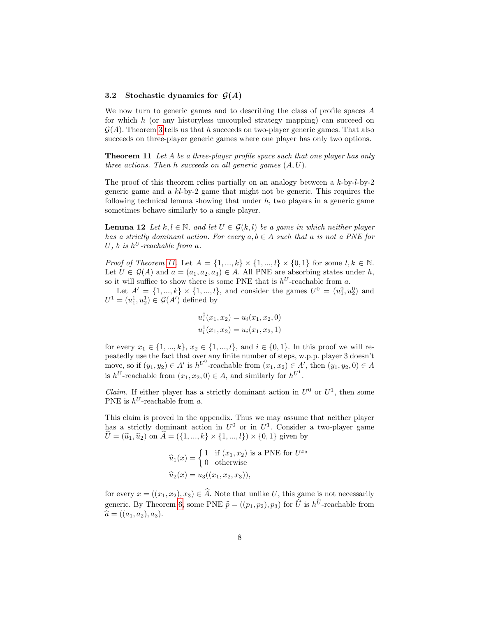#### 3.2 Stochastic dynamics for  $\mathcal{G}(A)$

We now turn to generic games and to describing the class of profile spaces A for which h (or any historyless uncoupled strategy mapping) can succeed on  $\mathcal{G}(A)$ . Theorem [3](#page-4-1) tells us that h succeeds on two-player generic games. That also succeeds on three-player generic games where one player has only two options.

<span id="page-7-0"></span>Theorem 11 Let A be a three-player profile space such that one player has only three actions. Then h succeeds on all generic games  $(A, U)$ .

The proof of this theorem relies partially on an analogy between a k-by-l-by-2 generic game and a  $kl$ -by-2 game that might not be generic. This requires the following technical lemma showing that under  $h$ , two players in a generic game sometimes behave similarly to a single player.

<span id="page-7-1"></span>**Lemma 12** Let  $k, l \in \mathbb{N}$ , and let  $U \in \mathcal{G}(k, l)$  be a game in which neither player has a strictly dominant action. For every  $a, b \in A$  such that a is not a PNE for U, b is  $h^U$ -reachable from a.

*Proof of Theorem [11.](#page-7-0)* Let  $A = \{1, ..., k\} \times \{1, ..., l\} \times \{0, 1\}$  for some  $l, k \in \mathbb{N}$ . Let  $U \in \mathcal{G}(A)$  and  $a = (a_1, a_2, a_3) \in A$ . All PNE are absorbing states under h, so it will suffice to show there is some PNE that is  $h^U$ -reachable from a.

Let  $A' = \{1, ..., k\} \times \{1, ..., l\}$ , and consider the games  $U^0 = (u_1^0, u_2^0)$  and  $U^1 = (u_1^1, u_2^1) \in \mathcal{G}(A')$  defined by

$$
u_i^0(x_1, x_2) = u_i(x_1, x_2, 0)
$$
  

$$
u_i^1(x_1, x_2) = u_i(x_1, x_2, 1)
$$

for every  $x_1 \in \{1, ..., k\}, x_2 \in \{1, ..., l\},$  and  $i \in \{0, 1\}.$  In this proof we will repeatedly use the fact that over any finite number of steps, w.p.p. player 3 doesn't move, so if  $(y_1, y_2) \in A'$  is  $h^{U^0}$ -reachable from  $(x_1, x_2) \in A'$ , then  $(y_1, y_2, 0) \in A$ is  $h^U$ -reachable from  $(x_1, x_2, 0) \in A$ , and similarly for  $h^{U^1}$ .

*Claim.* If either player has a strictly dominant action in  $U^0$  or  $U^1$ , then some PNE is  $h^U$ -reachable from a.

This claim is proved in the appendix. Thus we may assume that neither player has a strictly dominant action in  $U^0$  or in  $U^1$ . Consider a two-player game  $U = (\hat{u}_1, \hat{u}_2)$  on  $A = (\{1, ..., k\} \times \{1, ..., l\}) \times \{0, 1\}$  given by

$$
\widehat{u}_1(x) = \begin{cases}\n1 & \text{if } (x_1, x_2) \text{ is a PNE for } U^{x_3} \\
0 & \text{otherwise}\n\end{cases}
$$
\n
$$
\widehat{u}_2(x) = u_3((x_1, x_2, x_3)),
$$

for every  $x = ((x_1, x_2), x_3) \in \widehat{A}$ . Note that unlike U, this game is not necessarily generic. By Theorem [6,](#page-5-0) some PNE  $\hat{p} = ((p_1, p_2), p_3)$  for  $\hat{U}$  is  $h^U$ -reachable from  $\hat{a} = ((a_1, a_2), a_3).$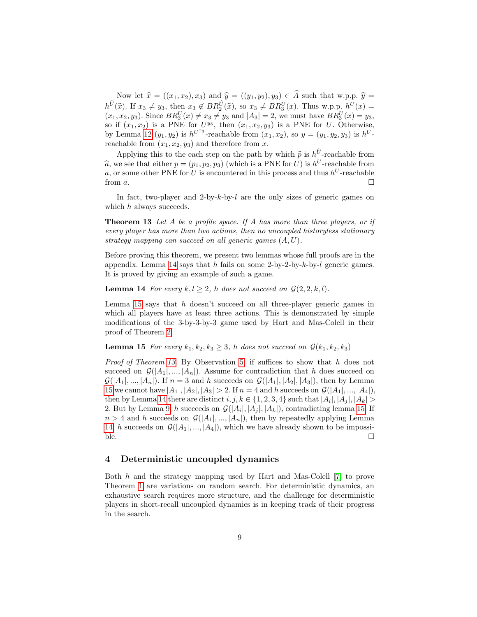Now let  $\hat{x} = ((x_1, x_2), x_3)$  and  $\hat{y} = ((y_1, y_2), y_3) \in \hat{A}$  such that w.p.p.  $\hat{y} =$  $h^U(\hat{x})$ . If  $x_3 \neq y_3$ , then  $x_3 \notin BR_2^U(\hat{x})$ , so  $x_3 \neq BR_3^U(x)$ . Thus w.p.p.  $h^U(x) =$ <br> $(x_3, x_3, y_3)$ . Since  $BR_3^U(x) \neq x_3 \neq y_3$  and  $|A_3| = 2$ , we must have  $RB^U(x) = y_3$ .  $(x_1, x_2, y_3)$ . Since  $BR_3^U(x) \neq x_3 \neq y_3$  and  $|A_3| = 2$ , we must have  $BR_3^U(x) = y_3$ , so if  $(x_1, x_2)$  is a PNE for  $U^{y_3}$ , then  $(x_1, x_2, y_3)$  is a PNE for U. Otherwise, by Lemma [12](#page-7-1)  $(y_1, y_2)$  is  $h^{U^{x_3}}$ -reachable from  $(x_1, x_2)$ , so  $y = (y_1, y_2, y_3)$  is  $h^{U}$ reachable from  $(x_1, x_2, y_3)$  and therefore from x.

Applying this to the each step on the path by which  $\hat{p}$  is  $h^U$ -reachable from<br> $\hat{p}$  so that either  $p = (p_1, p_2, p_3)$  (which is a PNF for  $I_l$ ) is  $h^U$  reachable from  $\hat{a}$ , we see that either  $p = (p_1, p_2, p_3)$  (which is a PNE for U) is  $h^U$ -reachable from a, or some other PNE for U is encountered in this process and thus  $h^U$ -reachable from  $a$ .

In fact, two-player and 2-by-k-by-l are the only sizes of generic games on which h always succeeds.

<span id="page-8-0"></span>**Theorem 13** Let A be a profile space. If A has more than three players, or if every player has more than two actions, then no uncoupled historyless stationary strategy mapping can succeed on all generic games  $(A, U)$ .

Before proving this theorem, we present two lemmas whose full proofs are in the appendix. Lemma [14](#page-8-2) says that  $h$  fails on some 2-by-2-by- $k$ -by- $l$  generic games. It is proved by giving an example of such a game.

<span id="page-8-2"></span>**Lemma 14** For every  $k, l \geq 2$ , h does not succeed on  $\mathcal{G}(2, 2, k, l)$ .

Lemma [15](#page-8-3) says that  $h$  doesn't succeed on all three-player generic games in which all players have at least three actions. This is demonstrated by simple modifications of the 3-by-3-by-3 game used by Hart and Mas-Colell in their proof of Theorem [2.](#page-4-2)

## <span id="page-8-3"></span>**Lemma 15** For every  $k_1, k_2, k_3 \geq 3$ , h does not succeed on  $\mathcal{G}(k_1, k_2, k_3)$

Proof of Theorem [13.](#page-8-0) By Observation [5,](#page-5-1) if suffices to show that h does not succeed on  $\mathcal{G}(|A_1|, ..., |A_n|)$ . Assume for contradiction that h does succeed on  $\mathcal{G}(|A_1|, ..., |A_n|)$ . If  $n = 3$  and h succeeds on  $\mathcal{G}(|A_1|, |A_2|, |A_3|)$ , then by Lemma [15](#page-8-3) we cannot have  $|A_1|, |A_2|, |A_3| > 2$ . If  $n = 4$  and h succeeds on  $\mathcal{G}(|A_1|, ..., |A_4|)$ , then by Lemma [14](#page-8-2) there are distinct  $i, j, k \in \{1, 2, 3, 4\}$  such that  $|A_i|, |A_j|, |A_k| >$ 2. But by Lemma [9,](#page-6-2) h succeeds on  $\mathcal{G}(|A_i|, |A_j|, |A_k|)$ , contradicting lemma [15.](#page-8-3) If  $n > 4$  and h succeeds on  $\mathcal{G}(|A_1|, ..., |A_n|)$ , then by repeatedly applying Lemma [14,](#page-8-2) h succeeds on  $\mathcal{G}(|A_1|, ..., |A_4|)$ , which we have already shown to be impossible.  $\Box$ 

## <span id="page-8-1"></span>4 Deterministic uncoupled dynamics

Both h and the strategy mapping used by Hart and Mas-Colell [\[7\]](#page-11-5) to prove Theorem [1](#page-4-3) are variations on random search. For deterministic dynamics, an exhaustive search requires more structure, and the challenge for deterministic players in short-recall uncoupled dynamics is in keeping track of their progress in the search.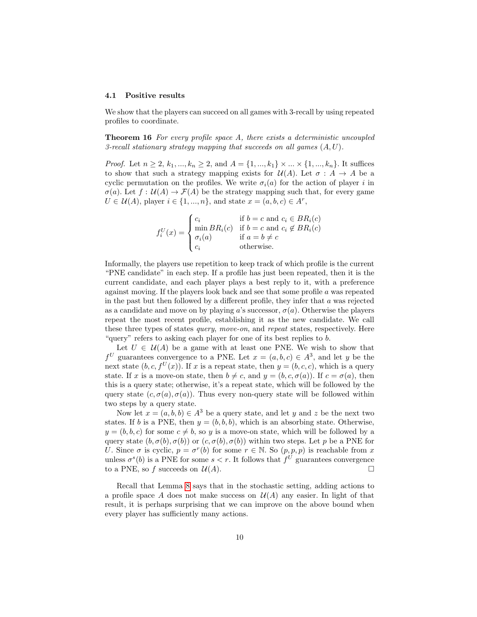#### 4.1 Positive results

<span id="page-9-0"></span>We show that the players can succeed on all games with 3-recall by using repeated profiles to coordinate.

Theorem 16 For every profile space A, there exists a deterministic uncoupled 3-recall stationary strategy mapping that succeeds on all games  $(A, U)$ .

*Proof.* Let  $n \ge 2, k_1, ..., k_n \ge 2$ , and  $A = \{1, ..., k_1\} \times ... \times \{1, ..., k_n\}$ . It suffices to show that such a strategy mapping exists for  $\mathcal{U}(A)$ . Let  $\sigma : A \to A$  be a cyclic permutation on the profiles. We write  $\sigma_i(a)$  for the action of player i in  $\sigma(a)$ . Let  $f: U(A) \to \mathcal{F}(A)$  be the strategy mapping such that, for every game  $U \in \mathcal{U}(A)$ , player  $i \in \{1, ..., n\}$ , and state  $x = (a, b, c) \in A^r$ ,

$$
f_i^U(x) = \begin{cases} c_i & \text{if } b = c \text{ and } c_i \in BR_i(c) \\ \min_{\sigma_i(a)} BR_i(c) & \text{if } b = c \text{ and } c_i \notin BR_i(c) \\ \sigma_i(a) & \text{if } a = b \neq c \\ c_i & \text{otherwise.} \end{cases}
$$

Informally, the players use repetition to keep track of which profile is the current "PNE candidate" in each step. If a profile has just been repeated, then it is the current candidate, and each player plays a best reply to it, with a preference against moving. If the players look back and see that some profile a was repeated in the past but then followed by a different profile, they infer that  $a$  was rejected as a candidate and move on by playing a's successor,  $\sigma(a)$ . Otherwise the players repeat the most recent profile, establishing it as the new candidate. We call these three types of states *query, move-on*, and *repeat* states, respectively. Here " $query"$  refers to asking each player for one of its best replies to  $b$ .

Let  $U \in \mathcal{U}(A)$  be a game with at least one PNE. We wish to show that  $f^U$  guarantees convergence to a PNE. Let  $x = (a, b, c) \in A^3$ , and let y be the next state  $(b, c, f^U(x))$ . If x is a repeat state, then  $y = (b, c, c)$ , which is a query state. If x is a move-on state, then  $b \neq c$ , and  $y = (b, c, \sigma(a))$ . If  $c = \sigma(a)$ , then this is a query state; otherwise, it's a repeat state, which will be followed by the query state  $(c, \sigma(a), \sigma(a))$ . Thus every non-query state will be followed within two steps by a query state.

Now let  $x = (a, b, b) \in A^3$  be a query state, and let y and z be the next two states. If b is a PNE, then  $y = (b, b, b)$ , which is an absorbing state. Otherwise,  $y = (b, b, c)$  for some  $c \neq b$ , so y is a move-on state, which will be followed by a query state  $(b, \sigma(b), \sigma(b))$  or  $(c, \sigma(b), \sigma(b))$  within two steps. Let p be a PNE for U. Since  $\sigma$  is cyclic,  $p = \sigma^r(b)$  for some  $r \in \mathbb{N}$ . So  $(p, p, p)$  is reachable from x unless  $\sigma^s(b)$  is a PNE for some  $s < r$ . It follows that  $f^U$  guarantees convergence to a PNE, so f succeeds on  $\mathcal{U}(A)$ .

<span id="page-9-1"></span>Recall that Lemma [8](#page-6-1) says that in the stochastic setting, adding actions to a profile space A does not make success on  $\mathcal{U}(A)$  any easier. In light of that result, it is perhaps surprising that we can improve on the above bound when every player has sufficiently many actions.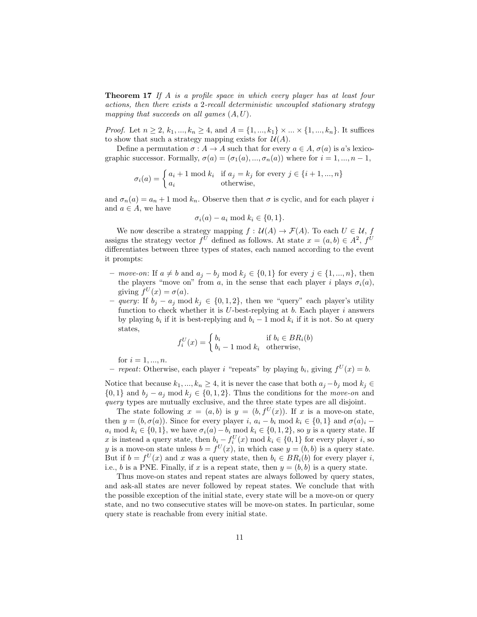**Theorem 17** If A is a profile space in which every player has at least four actions, then there exists a 2-recall deterministic uncoupled stationary strategy mapping that succeeds on all games  $(A, U)$ .

*Proof.* Let  $n \ge 2, k_1, ..., k_n \ge 4$ , and  $A = \{1, ..., k_1\} \times ... \times \{1, ..., k_n\}$ . It suffices to show that such a strategy mapping exists for  $\mathcal{U}(A)$ .

Define a permutation  $\sigma : A \to A$  such that for every  $a \in A$ ,  $\sigma(a)$  is a's lexicographic successor. Formally,  $\sigma(a) = (\sigma_1(a), ..., \sigma_n(a))$  where for  $i = 1, ..., n-1$ ,

$$
\sigma_i(a) = \begin{cases} a_i + 1 \bmod k_i & \text{if } a_j = k_j \text{ for every } j \in \{i+1, ..., n\} \\ a_i & \text{otherwise,} \end{cases}
$$

and  $\sigma_n(a) = a_n + 1$  mod  $k_n$ . Observe then that  $\sigma$  is cyclic, and for each player i and  $a \in A$ , we have

$$
\sigma_i(a) - a_i \bmod k_i \in \{0, 1\}.
$$

We now describe a strategy mapping  $f: U(A) \to \mathcal{F}(A)$ . To each  $U \in \mathcal{U}$ , f assigns the strategy vector  $f^U$  defined as follows. At state  $x = (a, b) \in A^2$ ,  $f^U$ differentiates between three types of states, each named according to the event it prompts:

- move-on: If  $a \neq b$  and  $a_j b_j \mod k_j \in \{0, 1\}$  for every  $j \in \{1, ..., n\}$ , then the players "move on" from a, in the sense that each player i plays  $\sigma_i(a)$ , giving  $f^U(x) = \sigma(a)$ .
- query: If  $b_i a_j \mod k_j$  ∈ {0, 1, 2}, then we "query" each player's utility function to check whether it is  $U$ -best-replying at b. Each player i answers by playing  $b_i$  if it is best-replying and  $b_i - 1 \mod k_i$  if it is not. So at query states,

$$
f_i^U(x) = \begin{cases} b_i & \text{if } b_i \in BR_i(b) \\ b_i - 1 \text{ mod } k_i & \text{otherwise,} \end{cases}
$$

for  $i = 1, ..., n$ .

– repeat: Otherwise, each player *i* "repeats" by playing  $b_i$ , giving  $f^U(x) = b$ .

Notice that because  $k_1, ..., k_n \ge 4$ , it is never the case that both  $a_j - b_j \mod k_j \in$  $\{0,1\}$  and  $b_j - a_j \mod k_j \in \{0,1,2\}$ . Thus the conditions for the *move-on* and query types are mutually exclusive, and the three state types are all disjoint.

The state following  $x = (a, b)$  is  $y = (b, f^U(x))$ . If x is a move-on state, then  $y = (b, \sigma(a))$ . Since for every player i,  $a_i - b_i \mod k_i \in \{0, 1\}$  and  $\sigma(a)_i$  –  $a_i \mod k_i \in \{0,1\}$ , we have  $\sigma_i(a) - b_i \mod k_i \in \{0,1,2\}$ , so y is a query state. If x is instead a query state, then  $b_i - f_i^U(x) \mod k_i \in \{0, 1\}$  for every player i, so y is a move-on state unless  $b = f^{U}(x)$ , in which case  $y = (b, b)$  is a query state. But if  $b = f^{U}(x)$  and x was a query state, then  $b_i \in BR_i(b)$  for every player i, i.e., b is a PNE. Finally, if x is a repeat state, then  $y = (b, b)$  is a query state.

Thus move-on states and repeat states are always followed by query states, and ask-all states are never followed by repeat states. We conclude that with the possible exception of the initial state, every state will be a move-on or query state, and no two consecutive states will be move-on states. In particular, some query state is reachable from every initial state.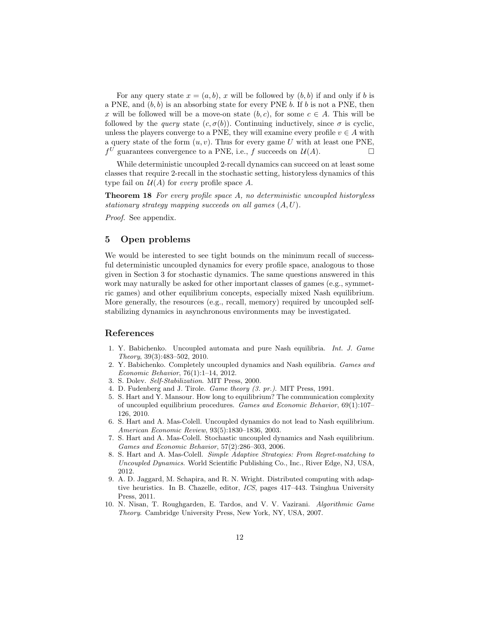For any query state  $x = (a, b)$ , x will be followed by  $(b, b)$  if and only if b is a PNE, and  $(b, b)$  is an absorbing state for every PNE b. If b is not a PNE, then x will be followed will be a move-on state  $(b, c)$ , for some  $c \in A$ . This will be followed by the *query* state  $(c, \sigma(b))$ . Continuing inductively, since  $\sigma$  is cyclic, unless the players converge to a PNE, they will examine every profile  $v \in A$  with a query state of the form  $(u, v)$ . Thus for every game U with at least one PNE,  $f^U$  guarantees convergence to a PNE, i.e., f succeeds on  $\mathcal{U}(A)$ .

<span id="page-11-6"></span>While deterministic uncoupled 2-recall dynamics can succeed on at least some classes that require 2-recall in the stochastic setting, historyless dynamics of this type fail on  $\mathcal{U}(A)$  for every profile space A.

Theorem 18 For every profile space A, no deterministic uncoupled historyless stationary strategy mapping succeeds on all games  $(A, U)$ .

Proof. See appendix.

## 5 Open problems

We would be interested to see tight bounds on the minimum recall of successful deterministic uncoupled dynamics for every profile space, analogous to those given in Section 3 for stochastic dynamics. The same questions answered in this work may naturally be asked for other important classes of games (e.g., symmetric games) and other equilibrium concepts, especially mixed Nash equilibrium. More generally, the resources (e.g., recall, memory) required by uncoupled selfstabilizing dynamics in asynchronous environments may be investigated.

## References

- <span id="page-11-7"></span>1. Y. Babichenko. Uncoupled automata and pure Nash equilibria. Int. J. Game Theory, 39(3):483–502, 2010.
- <span id="page-11-8"></span>2. Y. Babichenko. Completely uncoupled dynamics and Nash equilibria. Games and Economic Behavior, 76(1):1–14, 2012.
- <span id="page-11-0"></span>3. S. Dolev. Self-Stabilization. MIT Press, 2000.
- <span id="page-11-1"></span>4. D. Fudenberg and J. Tirole. Game theory (3. pr.). MIT Press, 1991.
- <span id="page-11-9"></span>5. S. Hart and Y. Mansour. How long to equilibrium? The communication complexity of uncoupled equilibrium procedures. Games and Economic Behavior, 69(1):107– 126, 2010.
- <span id="page-11-4"></span>6. S. Hart and A. Mas-Colell. Uncoupled dynamics do not lead to Nash equilibrium. American Economic Review, 93(5):1830–1836, 2003.
- <span id="page-11-5"></span>7. S. Hart and A. Mas-Colell. Stochastic uncoupled dynamics and Nash equilibrium. Games and Economic Behavior, 57(2):286–303, 2006.
- <span id="page-11-3"></span>8. S. Hart and A. Mas-Colell. Simple Adaptive Strategies: From Regret-matching to Uncoupled Dynamics. World Scientific Publishing Co., Inc., River Edge, NJ, USA, 2012.
- <span id="page-11-10"></span>9. A. D. Jaggard, M. Schapira, and R. N. Wright. Distributed computing with adaptive heuristics. In B. Chazelle, editor, ICS, pages 417–443. Tsinghua University Press, 2011.
- <span id="page-11-2"></span>10. N. Nisan, T. Roughgarden, E. Tardos, and V. V. Vazirani. Algorithmic Game Theory. Cambridge University Press, New York, NY, USA, 2007.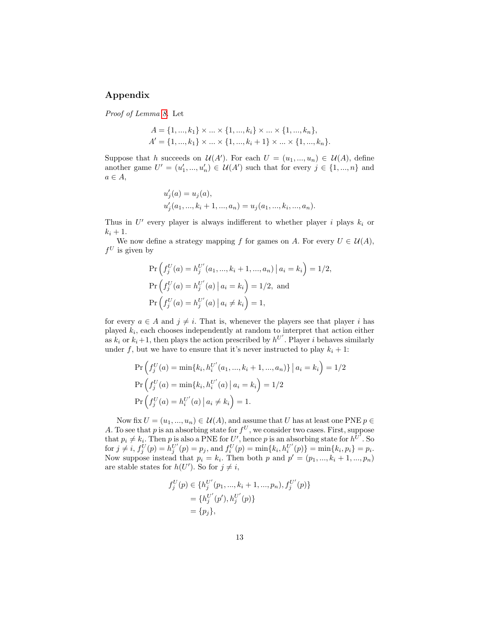## Appendix

Proof of Lemma [8.](#page-6-1) Let

$$
A = \{1, ..., k_1\} \times ... \times \{1, ..., k_i\} \times ... \times \{1, ..., k_n\},
$$
  

$$
A' = \{1, ..., k_1\} \times ... \times \{1, ..., k_i + 1\} \times ... \times \{1, ..., k_n\}.
$$

Suppose that h succeeds on  $\mathcal{U}(A')$ . For each  $U = (u_1, ..., u_n) \in \mathcal{U}(A)$ , define another game  $U' = (u'_1, ..., u'_n) \in \mathcal{U}(A')$  such that for every  $j \in \{1, ..., n\}$  and  $a \in A$ ,

$$
u'_{j}(a) = u_{j}(a),
$$
  

$$
u'_{j}(a_{1},...,k_{i}+1,...,a_{n}) = u_{j}(a_{1},...,k_{i},...,a_{n}).
$$

Thus in  $U'$  every player is always indifferent to whether player i plays  $k_i$  or  $k_i+1$ .

We now define a strategy mapping f for games on A. For every  $U \in \mathcal{U}(A)$ ,  $f^U$  is given by

$$
\Pr\left(f_j^U(a) = h_j^{U'}(a_1, ..., k_i + 1, ..., a_n) | a_i = k_i\right) = 1/2,
$$
  

$$
\Pr\left(f_j^U(a) = h_j^{U'}(a) | a_i = k_i\right) = 1/2, \text{ and}
$$
  

$$
\Pr\left(f_j^U(a) = h_j^{U'}(a) | a_i \neq k_i\right) = 1,
$$

for every  $a \in A$  and  $j \neq i$ . That is, whenever the players see that player i has played  $k_i$ , each chooses independently at random to interpret that action either as  $k_i$  or  $k_i+1$ , then plays the action prescribed by  $h^{U'}$ . Player i behaves similarly under f, but we have to ensure that it's never instructed to play  $k_i + 1$ :

$$
\Pr\left(f_j^U(a) = \min\{k_i, h_i^{U'}(a_1, ..., k_i + 1, ..., a_n)\} \mid a_i = k_i\right) = 1/2
$$
  

$$
\Pr\left(f_j^U(a) = \min\{k_i, h_i^{U'}(a) \mid a_i = k_i\right) = 1/2
$$
  

$$
\Pr\left(f_j^U(a) = h_i^{U'}(a) \mid a_i \neq k_i\right) = 1.
$$

Now fix  $U = (u_1, ..., u_n) \in \mathcal{U}(A)$ , and assume that U has at least one PNE  $p \in$ A. To see that p is an absorbing state for  $f^U$ , we consider two cases. First, suppose that  $p_i \neq k_i$ . Then p is also a PNE for U', hence p is an absorbing state for  $h^{U^{\dagger}}$ . So  $\text{for } j \neq i, f_j^U(p) = h_j^U'(p) = p_j \text{, and } f_i^U(p) = \min\{k_i, h_i^{U'}(p)\} = \min\{k_i, p_i\} = p_i.$ Now suppose instead that  $p_i = k_i$ . Then both p and  $p' = (p_1, ..., k_i + 1, ..., p_n)$ are stable states for  $h(U')$ . So for  $j \neq i$ ,

$$
f_j^U(p) \in \{h_j^{U'}(p_1, ..., k_i + 1, ..., p_n), f_j^{U'}(p)\}
$$
  
=  $\{h_j^{U'}(p'), h_j^{U'}(p)\}$   
=  $\{p_j\},$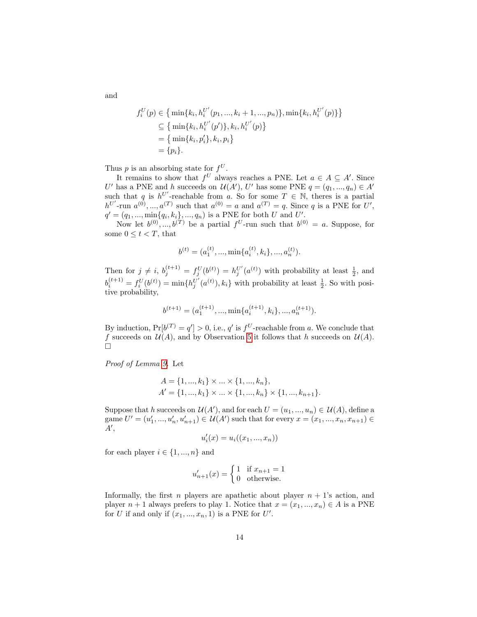$$
f_i^U(p) \in \left\{ \min\{k_i, h_i^{U'}(p_1, ..., k_i + 1, ..., p_n)\}, \min\{k_i, h_i^{U'}(p)\} \right\}
$$
  
\n
$$
\subseteq \left\{ \min\{k_i, h_i^{U'}(p')\}, k_i, h_i^{U'}(p) \right\}
$$
  
\n
$$
= \left\{ \min\{k_i, p_i'\}, k_i, p_i \right\}
$$
  
\n
$$
= \{p_i\}.
$$

Thus p is an absorbing state for  $f^U$ .

It remains to show that  $f^U$  always reaches a PNE. Let  $a \in A \subseteq A'$ . Since U' has a PNE and h succeeds on  $\mathcal{U}(A')$ , U' has some PNE  $q = (q_1, ..., q_n) \in A'$ such that q is  $h^{U'}$ -reachable from a. So for some  $T \in \mathbb{N}$ , theres is a partial  $h^{U'}$ -run  $a^{(0)},...,a^{(T)}$  such that  $a^{(0)} = a$  and  $a^{(T)} = q$ . Since q is a PNE for U',  $q' = (q_1, ..., \min\{q_i, k_i\}, ..., q_n)$  is a PNE for both U and U'.

Now let  $b^{(0)},...,b^{(T)}$  be a partial  $f^U$ -run such that  $b^{(0)} = a$ . Suppose, for some  $0 \leq t < T$ , that

$$
b^{(t)} = (a_1^{(t)}, ..., \min\{a_i^{(t)}, k_i\}, ..., a_n^{(t)}).
$$

Then for  $j \neq i$ ,  $b_j^{(t+1)} = f_j^U(b^{(t)}) = h_j^{U'}(a^{(t)})$  with probability at least  $\frac{1}{2}$ , and  $b_i^{(t+1)} = f_i^U(b^{(t)}) = \min\{h_j^{U'}(a^{(t)}), k_i\}$  with probability at least  $\frac{1}{2}$ . So with positive probability,

$$
b^{(t+1)}=(a_1^{(t+1)},\dots,\min\{a_i^{(t+1)},k_i\},...,a_n^{(t+1)}).
$$

By induction,  $Pr[b^{(T)} = q'] > 0$ , i.e., q' is  $f^U$ -reachable from a. We conclude that f succeeds on  $\mathcal{U}(A)$ , and by Observation [5](#page-5-1) it follows that h succeeds on  $\mathcal{U}(A)$ .  $\Box$ 

Proof of Lemma [9.](#page-6-2) Let

$$
A = \{1, ..., k_1\} \times ... \times \{1, ..., k_n\},
$$
  

$$
A' = \{1, ..., k_1\} \times ... \times \{1, ..., k_n\} \times \{1, ..., k_{n+1}\}.
$$

Suppose that h succeeds on  $\mathcal{U}(A')$ , and for each  $U = (u_1, ..., u_n) \in \mathcal{U}(A)$ , define a game  $U' = (u'_1, ..., u'_n, u'_{n+1}) \in \mathcal{U}(A')$  such that for every  $x = (x_1, ..., x_n, x_{n+1}) \in$  $A',$ 

$$
u'_{i}(x) = u_{i}((x_{1},...,x_{n}))
$$

for each player  $i \in \{1, ..., n\}$  and

$$
u'_{n+1}(x) = \begin{cases} 1 & \text{if } x_{n+1} = 1 \\ 0 & \text{otherwise.} \end{cases}
$$

Informally, the first n players are apathetic about player  $n + 1$ 's action, and player  $n + 1$  always prefers to play 1. Notice that  $x = (x_1, ..., x_n) \in A$  is a PNE for U if and only if  $(x_1, ..., x_n, 1)$  is a PNE for U'.

and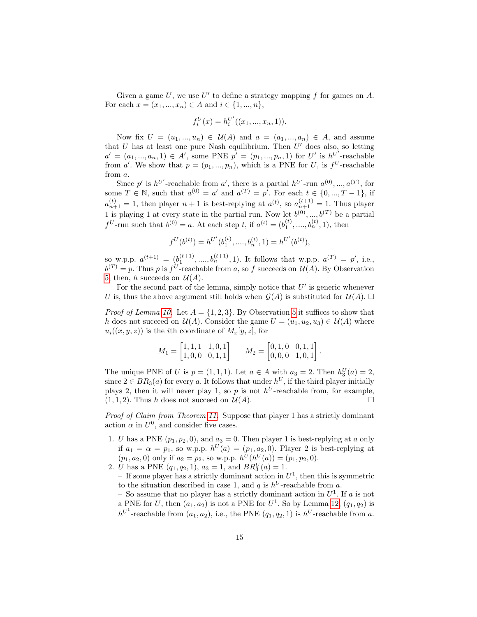Given a game  $U$ , we use  $U'$  to define a strategy mapping  $f$  for games on  $A$ . For each  $x = (x_1, ..., x_n) \in A$  and  $i \in \{1, ..., n\},\$ 

$$
f_i^U(x) = h_i^{U'}((x_1, ..., x_n, 1)).
$$

Now fix  $U = (u_1, ..., u_n) \in \mathcal{U}(A)$  and  $a = (a_1, ..., a_n) \in A$ , and assume that  $U$  has at least one pure Nash equilibrium. Then  $U'$  does also, so letting  $a' = (a_1, ..., a_n, 1) \in A'$ , some PNE  $p' = (p_1, ..., p_n, 1)$  for U' is  $h^{U'}$ -reachable from a'. We show that  $p = (p_1, ..., p_n)$ , which is a PNE for U, is  $f^U$ -reachable from a.

Since p' is  $h^{U'}$ -reachable from a', there is a partial  $h^{U'}$ -run  $a^{(0)},...,a^{(T)}$ , for some  $T \in \mathbb{N}$ , such that  $a^{(0)} = a'$  and  $a^{(T)} = p'$ . For each  $t \in \{0, ..., T-1\}$ , if  $a_{n+1}^{(t)} = 1$ , then player  $n+1$  is best-replying at  $a^{(t)}$ , so  $a_{n+1}^{(t+1)} = 1$ . Thus player 1 is playing 1 at every state in the partial run. Now let  $b^{(0)},...,b^{(T)}$  be a partial  $f^{U}$ -run such that  $b^{(0)} = a$ . At each step t, if  $a^{(t)} = (b_1^{(t)}, \ldots, b_n^{(t)}, 1)$ , then

$$
f^{U}(b^{(t)}) = h^{U'}(b_1^{(t)}, \ldots, b_n^{(t)}, 1) = h^{U'}(b^{(t)}),
$$

so w.p.p.  $a^{(t+1)} = (b_1^{(t+1)},...,b_n^{(t+1)}, 1)$ . It follows that w.p.p.  $a^{(T)} = p'$ , i.e.,  $b^{(T)} = p$ . Thus p is  $f^U$ -reachable from a, so f succeeds on  $\mathcal{U}(A)$ . By Observation [5,](#page-5-1) then, h succeeds on  $\mathcal{U}(A)$ .

For the second part of the lemma, simply notice that  $U'$  is generic whenever U is, thus the above argument still holds when  $\mathcal{G}(A)$  is substituted for  $\mathcal{U}(A)$ .

*Proof of Lemma [10.](#page-6-3)* Let  $A = \{1, 2, 3\}$ . By Observation [5](#page-5-1) it suffices to show that h does not succeed on  $\mathcal{U}(A)$ . Consider the game  $U = (u_1, u_2, u_3) \in \mathcal{U}(A)$  where  $u_i((x, y, z))$  is the *i*th coordinate of  $M_x[y, z]$ , for

$$
M_1 = \begin{bmatrix} 1, 1, 1 & 1, 0, 1 \\ 1, 0, 0 & 0, 1, 1 \end{bmatrix} \qquad M_2 = \begin{bmatrix} 0, 1, 0 & 0, 1, 1 \\ 0, 0, 0 & 1, 0, 1 \end{bmatrix}.
$$

The unique PNE of U is  $p = (1, 1, 1)$ . Let  $a \in A$  with  $a_3 = 2$ . Then  $h_3^U(a) = 2$ , since  $2 \in BR_3(a)$  for every a. It follows that under  $h^U$ , if the third player initially plays 2, then it will never play 1, so p is not  $h^U$ -reachable from, for example,  $(1, 1, 2)$ . Thus h does not succeed on  $\mathcal{U}(A)$ .

Proof of Claim from Theorem [11.](#page-7-0) Suppose that player 1 has a strictly dominant action  $\alpha$  in  $U^0$ , and consider five cases.

- 1. U has a PNE  $(p_1, p_2, 0)$ , and  $a_3 = 0$ . Then player 1 is best-replying at a only if  $a_1 = \alpha = p_1$ , so w.p.p.  $h^U(a) = (p_1, a_2, 0)$ . Player 2 is best-replying at  $(p_1, a_2, 0)$  only if  $a_2 = p_2$ , so w.p.p.  $h^U(h^U(a)) = (p_1, p_2, 0)$ .
- 2. *U* has a PNE  $(q_1, q_2, 1)$ ,  $a_3 = 1$ , and  $BR_3^U(a) = 1$ .

- If some player has a strictly dominant action in  $U^1$ , then this is symmetric to the situation described in case 1, and q is  $h^U$ -reachable from a.

- So assume that no player has a strictly dominant action in  $U^1$ . If a is not a PNE for U, then  $(a_1, a_2)$  is not a PNE for  $U^1$ . So by Lemma [12,](#page-7-1)  $(q_1, q_2)$  is  $h^{U^1}$ -reachable from  $(a_1, a_2)$ , i.e., the PNE  $(q_1, q_2, 1)$  is  $h^{U}$ -reachable from a.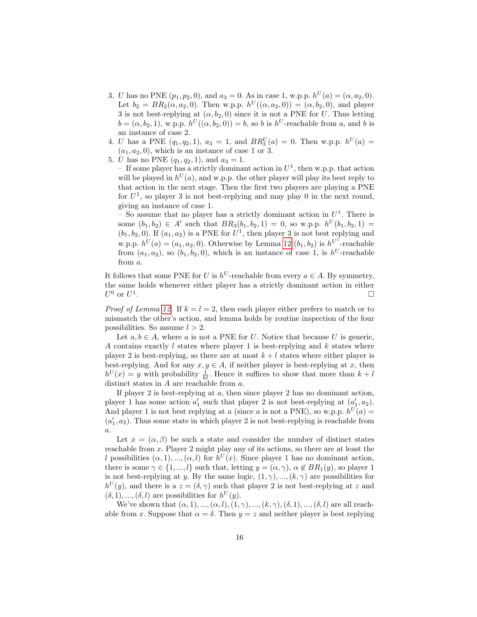- 3. U has no PNE  $(p_1, p_2, 0)$ , and  $a_3 = 0$ . As in case 1, w.p.p.  $h^U(a) = (\alpha, a_2, 0)$ . Let  $b_2 = BR_2(\alpha, a_2, 0)$ . Then w.p.p.  $h^U((\alpha, a_2, 0)) = (\alpha, b_2, 0)$ , and player 3 is not best-replying at  $(\alpha, b_2, 0)$  since it is not a PNE for U. Thus letting  $b = (\alpha, b_2, 1)$ , w.p.p.  $h^U((\alpha, b_2, 0)) = b$ , so b is  $h^U$ -reachable from a, and b is an instance of case 2.
- 4. *U* has a PNE  $(q_1, q_2, 1)$ ,  $a_3 = 1$ , and  $BR_3^U(a) = 0$ . Then w.p.p.  $h^U(a) =$  $(a_1, a_2, 0)$ , which is an instance of case 1 or 3.
- 5. *U* has no PNE  $(q_1, q_2, 1)$ , and  $a_3 = 1$ .

- If some player has a strictly dominant action in  $U^1$ , then w.p.p. that action will be played in  $h^{U}(a)$ , and w.p.p. the other player will play its best reply to that action in the next stage. Then the first two players are playing a PNE for  $U^1$ , so player 3 is not best-replying and may play 0 in the next round, giving an instance of case 1.

- So assume that no player has a strictly dominant action in  $U^1$ . There is some  $(b_1, b_2) \in A'$  such that  $BR_3(b_1, b_2, 1) = 0$ , so w.p.p.  $h^U(b_1, b_2, 1) =$  $(b_1, b_2, 0)$ . If  $(a_1, a_2)$  is a PNE for  $U^1$ , then player 3 is not best replying and w.p.p.  $h^{U}(a) = (a_1, a_2, 0)$ . Otherwise by Lemma [12](#page-7-1)  $(b_1, b_2)$  is  $h^{U^1}$ -reachable from  $(a_1, a_2)$ , so  $(b_1, b_2, 0)$ , which is an instance of case 1, is  $h^U$ -reachable from a.

It follows that some PNE for U is  $h^U$ -reachable from every  $a \in A$ . By symmetry, the same holds whenever either player has a strictly dominant action in either  $U^0$  or  $U^1$ .

*Proof of Lemma [12.](#page-7-1)* If  $k = l = 2$ , then each player either prefers to match or to mismatch the other's action, and lemma holds by routine inspection of the four possibilities. So assume  $l > 2$ .

Let  $a, b \in A$ , where a is not a PNE for U. Notice that because U is generic, A contains exactly  $l$  states where player 1 is best-replying and  $k$  states where player 2 is best-replying, so there are at most  $k+l$  states where either player is best-replying. And for any  $x, y \in A$ , if neither player is best-replying at x, then  $h^{U}(x) = y$  with probability  $\frac{1}{k!}$ . Hence it suffices to show that more than  $k + l$ distinct states in A are reachable from a.

If player 2 is best-replying at  $a$ , then since player 2 has no dominant action, player 1 has some action  $a'_1$  such that player 2 is not best-replying at  $(a'_1, a_2)$ . And player 1 is not best replying at a (since a is not a PNE), so w.p.p.  $h^{U}(a) =$  $(a'_1, a_2)$ . Thus some state in which player 2 is not best-replying is reachable from  $\overline{a}$ .

Let  $x = (\alpha, \beta)$  be such a state and consider the number of distinct states reachable from x. Player 2 might play any of its actions, so there are at least the l possibilities  $(\alpha, 1), ..., (\alpha, l)$  for  $h^U(x)$ . Since player 1 has no dominant action, there is some  $\gamma \in \{1, ..., l\}$  such that, letting  $y = (\alpha, \gamma)$ ,  $\alpha \notin BR_1(y)$ , so player 1 is not best-replying at y. By the same logic,  $(1, \gamma), ..., (k, \gamma)$  are possibilities for  $h^{U}(y)$ , and there is a  $z = (\delta, \gamma)$  such that player 2 is not best-replying at z and  $(\delta, 1), ..., (\delta, l)$  are possibilities for  $h^U(y)$ .

We've shown that  $(\alpha, 1), ..., (\alpha, l), (1, \gamma), ..., (k, \gamma), (\delta, 1), ..., (\delta, l)$  are all reachable from x. Suppose that  $\alpha = \delta$ . Then  $y = z$  and neither player is best replying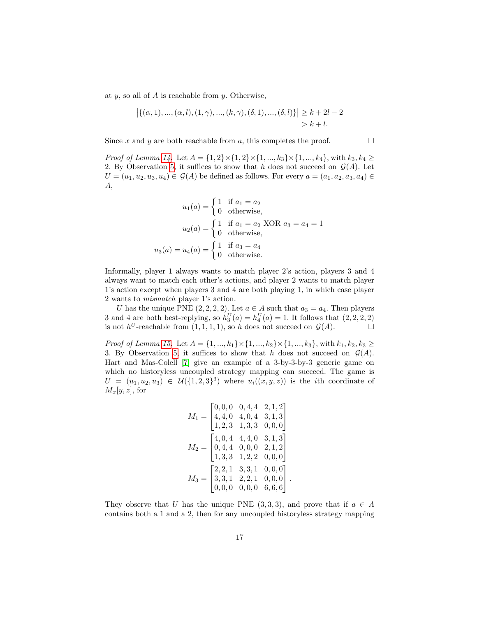at  $y$ , so all of  $A$  is reachable from  $y$ . Otherwise,

$$
\left| \{ (\alpha, 1), ..., (\alpha, l), (1, \gamma), ..., (k, \gamma), (\delta, 1), ..., (\delta, l) \} \right| \ge k + 2l - 2
$$
  
> k + l.

Since x and y are both reachable from a, this completes the proof.  $\Box$ 

*Proof of Lemma [14.](#page-8-2)* Let  $A = \{1, 2\} \times \{1, 2\} \times \{1, ..., k_3\} \times \{1, ..., k_4\}$ , with  $k_3, k_4 \geq$ 2. By Observation [5,](#page-5-1) it suffices to show that h does not succeed on  $\mathcal{G}(A)$ . Let  $U = (u_1, u_2, u_3, u_4) \in \mathcal{G}(A)$  be defined as follows. For every  $a = (a_1, a_2, a_3, a_4) \in$ A,

$$
u_1(a) = \begin{cases} 1 & \text{if } a_1 = a_2 \\ 0 & \text{otherwise,} \end{cases}
$$

$$
u_2(a) = \begin{cases} 1 & \text{if } a_1 = a_2 \text{ XOR } a_3 = a_4 = 1 \\ 0 & \text{otherwise,} \end{cases}
$$

$$
u_3(a) = u_4(a) = \begin{cases} 1 & \text{if } a_3 = a_4 \\ 0 & \text{otherwise.} \end{cases}
$$

Informally, player 1 always wants to match player 2's action, players 3 and 4 always want to match each other's actions, and player 2 wants to match player 1's action except when players 3 and 4 are both playing 1, in which case player 2 wants to mismatch player 1's action.

U has the unique PNE  $(2, 2, 2, 2)$ . Let  $a \in A$  such that  $a_3 = a_4$ . Then players 3 and 4 are both best-replying, so  $h_3^U(a) = h_4^U(a) = 1$ . It follows that  $(2, 2, 2, 2)$ is not  $h^U$ -reachable from  $(1,1,1,1)$ , so h does not succeed on  $\mathcal{G}(A)$ .

*Proof of Lemma [15.](#page-8-3)* Let  $A = \{1, ..., k_1\} \times \{1, ..., k_2\} \times \{1, ..., k_3\}$ , with  $k_1, k_2, k_3 \ge$ 3. By Observation [5,](#page-5-1) it suffices to show that h does not succeed on  $\mathcal{G}(A)$ . Hart and Mas-Colell [\[7\]](#page-11-5) give an example of a 3-by-3-by-3 generic game on which no historyless uncoupled strategy mapping can succeed. The game is  $U = (u_1, u_2, u_3) \in \mathcal{U}(\{1, 2, 3\}^3)$  where  $u_i((x, y, z))$  is the *i*th coordinate of  $M_x[y, z]$ , for

$$
M_1 = \begin{bmatrix} 0,0,0 & 0,4,4 & 2,1,2 \\ 4,4,0 & 4,0,4 & 3,1,3 \\ 1,2,3 & 1,3,3 & 0,0,0 \end{bmatrix}
$$

$$
M_2 = \begin{bmatrix} 4,0,4 & 4,4,0 & 3,1,3 \\ 0,4,4 & 0,0,0 & 2,1,2 \\ 1,3,3 & 1,2,2 & 0,0,0 \end{bmatrix}
$$

$$
M_3 = \begin{bmatrix} 2,2,1 & 3,3,1 & 0,0,0 \\ 3,3,1 & 2,2,1 & 0,0,0 \\ 0,0,0 & 0,0,0 & 6,6,6 \end{bmatrix}.
$$

They observe that U has the unique PNE  $(3,3,3)$ , and prove that if  $a \in A$ contains both a 1 and a 2, then for any uncoupled historyless strategy mapping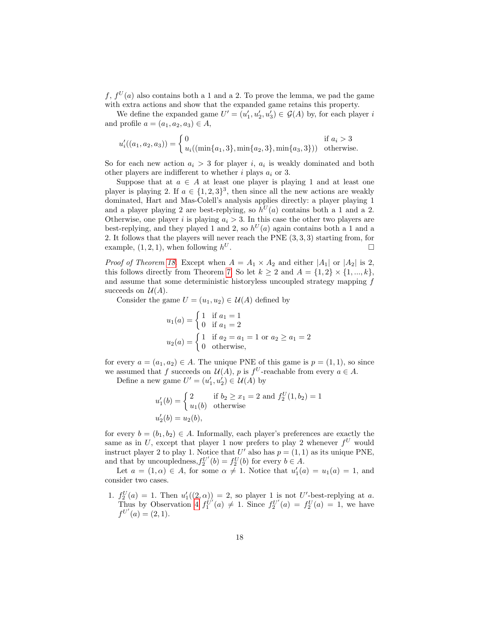$f, f^U(a)$  also contains both a 1 and a 2. To prove the lemma, we pad the game with extra actions and show that the expanded game retains this property.

We define the expanded game  $U' = (u'_1, u'_2, u'_3) \in \mathcal{G}(A)$  by, for each player i and profile  $a = (a_1, a_2, a_3) \in A$ ,

$$
u'_{i}((a_{1}, a_{2}, a_{3})) = \begin{cases} 0 & \text{if } a_{i} > 3\\ u_{i}((\min\{a_{1}, 3\}, \min\{a_{2}, 3\}, \min\{a_{3}, 3\})) & \text{otherwise.} \end{cases}
$$

So for each new action  $a_i > 3$  for player i,  $a_i$  is weakly dominated and both other players are indifferent to whether i plays  $a_i$  or 3.

Suppose that at  $a \in A$  at least one player is playing 1 and at least one player is playing 2. If  $a \in \{1,2,3\}^3$ , then since all the new actions are weakly dominated, Hart and Mas-Colell's analysis applies directly: a player playing 1 and a player playing 2 are best-replying, so  $h^{U}(a)$  contains both a 1 and a 2. Otherwise, one player i is playing  $a_i > 3$ . In this case the other two players are best-replying, and they played 1 and 2, so  $h^{U}(a)$  again contains both a 1 and a 2. It follows that the players will never reach the PNE (3, 3, 3) starting from, for example,  $(1, 2, 1)$ , when following  $h^U$ .  $U$  .

*Proof of Theorem [18.](#page-11-6)* Except when  $A = A_1 \times A_2$  and either  $|A_1|$  or  $|A_2|$  is 2, this follows directly from Theorem [7.](#page-6-0) So let  $k \geq 2$  and  $A = \{1,2\} \times \{1, ..., k\},\$ and assume that some deterministic historyless uncoupled strategy mapping f succeeds on  $\mathcal{U}(A)$ .

Consider the game  $U = (u_1, u_2) \in \mathcal{U}(A)$  defined by

$$
u_1(a) = \begin{cases} 1 & \text{if } a_1 = 1 \\ 0 & \text{if } a_1 = 2 \end{cases}
$$
  

$$
u_2(a) = \begin{cases} 1 & \text{if } a_2 = a_1 = 1 \text{ or } a_2 \ge a_1 = 2 \\ 0 & \text{otherwise,} \end{cases}
$$

for every  $a = (a_1, a_2) \in A$ . The unique PNE of this game is  $p = (1, 1)$ , so since we assumed that f succeeds on  $\mathcal{U}(A)$ , p is  $f^U$ -reachable from every  $a \in A$ .

Define a new game  $U' = (u'_1, u'_2) \in \mathcal{U}(A)$  by

$$
u'_1(b) = \begin{cases} 2 & \text{if } b_2 \ge x_1 = 2 \text{ and } f_2^U(1, b_2) = 1 \\ u_1(b) & \text{otherwise} \end{cases}
$$
  

$$
u'_2(b) = u_2(b),
$$

for every  $b = (b_1, b_2) \in A$ . Informally, each player's preferences are exactly the same as in U, except that player 1 now prefers to play 2 whenever  $f^U$  would instruct player 2 to play 1. Notice that U' also has  $p = (1, 1)$  as its unique PNE, and that by uncoupledness,  $f_2^{U'}(b) = f_2^{U}(b)$  for every  $b \in A$ .

Let  $a = (1, \alpha) \in A$ , for some  $\alpha \neq 1$ . Notice that  $u'_1(a) = u_1(a) = 1$ , and consider two cases.

1.  $f_2^U(a) = 1$ . Then  $u'_1((2, \alpha)) = 2$ , so player 1 is not U'-best-replying at a. Thus by Observation [4](#page-5-2)  $f_1^{U'}(a) \neq 1$ . Since  $f_2^{U'}(a) = f_2^{U}(a) = 1$ , we have  $f^{U'}(a) = (2,1).$